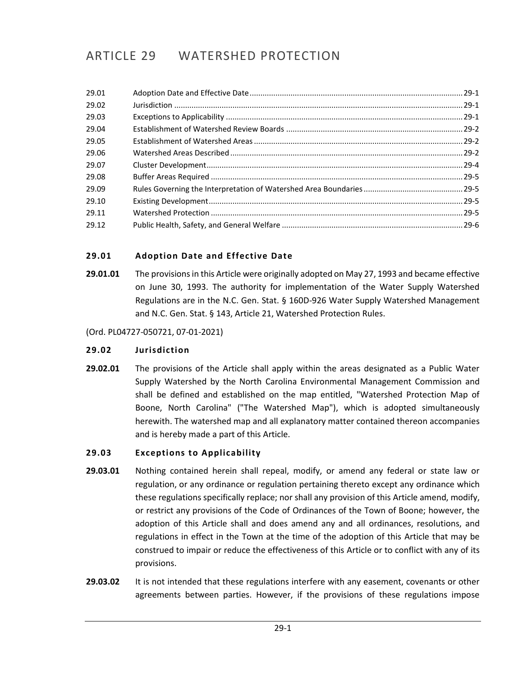# ARTICLE 29 WATERSHED PROTECTION

# <span id="page-0-0"></span>**29.01 Adoption Date and Effective Date**

**29.01.01** The provisions in this Article were originally adopted on May 27, 1993 and became effective on June 30, 1993. The authority for implementation of the Water Supply Watershed Regulations are in the N.C. Gen. Stat. § 160D-926 Water Supply Watershed Management and N.C. Gen. Stat. § 143, Article 21, Watershed Protection Rules.

(Ord. PL04727-050721, 07-01-2021)

#### <span id="page-0-1"></span>**29.02 Jurisdiction**

**29.02.01** The provisions of the Article shall apply within the areas designated as a Public Water Supply Watershed by the North Carolina Environmental Management Commission and shall be defined and established on the map entitled, "Watershed Protection Map of Boone, North Carolina" ("The Watershed Map"), which is adopted simultaneously herewith. The watershed map and all explanatory matter contained thereon accompanies and is hereby made a part of this Article.

# <span id="page-0-2"></span>**29.03 Exceptions to Applicability**

- **29.03.01** Nothing contained herein shall repeal, modify, or amend any federal or state law or regulation, or any ordinance or regulation pertaining thereto except any ordinance which these regulations specifically replace; nor shall any provision of this Article amend, modify, or restrict any provisions of the Code of Ordinances of the Town of Boone; however, the adoption of this Article shall and does amend any and all ordinances, resolutions, and regulations in effect in the Town at the time of the adoption of this Article that may be construed to impair or reduce the effectiveness of this Article or to conflict with any of its provisions.
- **29.03.02** It is not intended that these regulations interfere with any easement, covenants or other agreements between parties. However, if the provisions of these regulations impose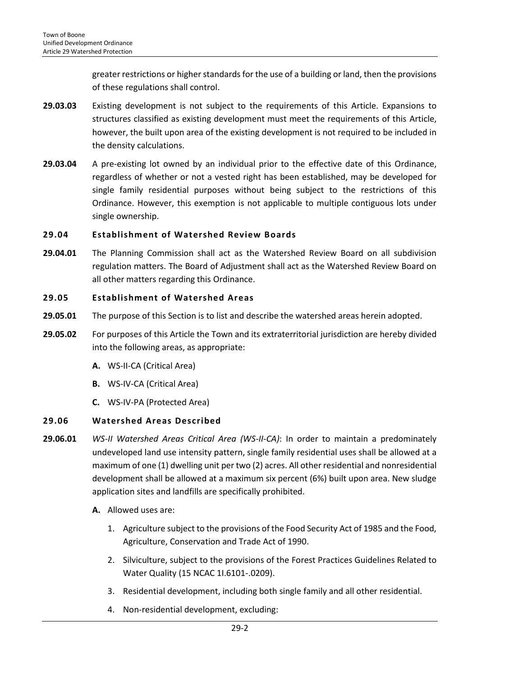greater restrictions or higher standards for the use of a building or land, then the provisions of these regulations shall control.

- **29.03.03** Existing development is not subject to the requirements of this Article. Expansions to structures classified as existing development must meet the requirements of this Article, however, the built upon area of the existing development is not required to be included in the density calculations.
- **29.03.04** A pre-existing lot owned by an individual prior to the effective date of this Ordinance, regardless of whether or not a vested right has been established, may be developed for single family residential purposes without being subject to the restrictions of this Ordinance. However, this exemption is not applicable to multiple contiguous lots under single ownership.

# <span id="page-1-0"></span>**29.04 Establishment of Watershed Review Boards**

**29.04.01** The Planning Commission shall act as the Watershed Review Board on all subdivision regulation matters. The Board of Adjustment shall act as the Watershed Review Board on all other matters regarding this Ordinance.

### <span id="page-1-1"></span>**29.05 Establishment of Watershed Areas**

- **29.05.01** The purpose of this Section is to list and describe the watershed areas herein adopted.
- **29.05.02** For purposes of this Article the Town and its extraterritorial jurisdiction are hereby divided into the following areas, as appropriate:
	- **A.** WS-II-CA (Critical Area)
	- **B.** WS-IV-CA (Critical Area)
	- **C.** WS-IV-PA (Protected Area)

# <span id="page-1-2"></span>**29.06 Watershed Areas Described**

- **29.06.01** *WS-II Watershed Areas Critical Area (WS-II-CA)*: In order to maintain a predominately undeveloped land use intensity pattern, single family residential uses shall be allowed at a maximum of one (1) dwelling unit per two (2) acres. All other residential and nonresidential development shall be allowed at a maximum six percent (6%) built upon area. New sludge application sites and landfills are specifically prohibited.
	- **A.** Allowed uses are:
		- 1. Agriculture subject to the provisions of the Food Security Act of 1985 and the Food, Agriculture, Conservation and Trade Act of 1990.
		- 2. Silviculture, subject to the provisions of the Forest Practices Guidelines Related to Water Quality (15 NCAC 1I.6101-.0209).
		- 3. Residential development, including both single family and all other residential.
		- 4. Non-residential development, excluding: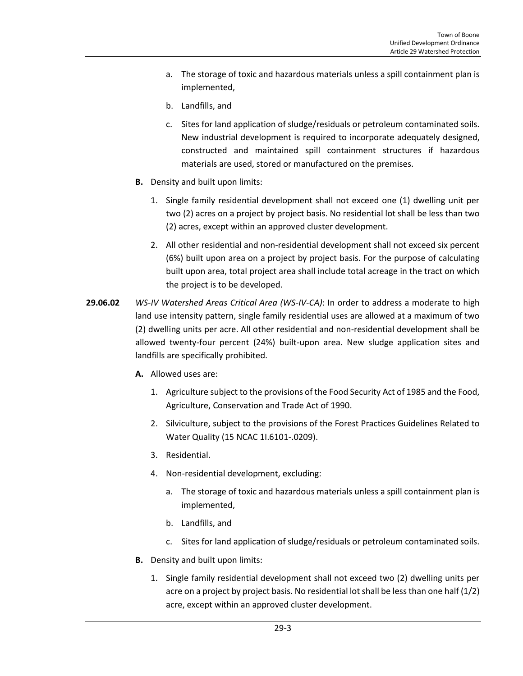- a. The storage of toxic and hazardous materials unless a spill containment plan is implemented,
- b. Landfills, and
- c. Sites for land application of sludge/residuals or petroleum contaminated soils. New industrial development is required to incorporate adequately designed, constructed and maintained spill containment structures if hazardous materials are used, stored or manufactured on the premises.
- **B.** Density and built upon limits:
	- 1. Single family residential development shall not exceed one (1) dwelling unit per two (2) acres on a project by project basis. No residential lot shall be less than two (2) acres, except within an approved cluster development.
	- 2. All other residential and non-residential development shall not exceed six percent (6%) built upon area on a project by project basis. For the purpose of calculating built upon area, total project area shall include total acreage in the tract on which the project is to be developed.
- **29.06.02** *WS-IV Watershed Areas Critical Area (WS-IV-CA)*: In order to address a moderate to high land use intensity pattern, single family residential uses are allowed at a maximum of two (2) dwelling units per acre. All other residential and non-residential development shall be allowed twenty-four percent (24%) built-upon area. New sludge application sites and landfills are specifically prohibited.
	- **A.** Allowed uses are:
		- 1. Agriculture subject to the provisions of the Food Security Act of 1985 and the Food, Agriculture, Conservation and Trade Act of 1990.
		- 2. Silviculture, subject to the provisions of the Forest Practices Guidelines Related to Water Quality (15 NCAC 1I.6101-.0209).
		- 3. Residential.
		- 4. Non-residential development, excluding:
			- a. The storage of toxic and hazardous materials unless a spill containment plan is implemented,
			- b. Landfills, and
			- c. Sites for land application of sludge/residuals or petroleum contaminated soils.
	- **B.** Density and built upon limits:
		- 1. Single family residential development shall not exceed two (2) dwelling units per acre on a project by project basis. No residential lot shall be less than one half (1/2) acre, except within an approved cluster development.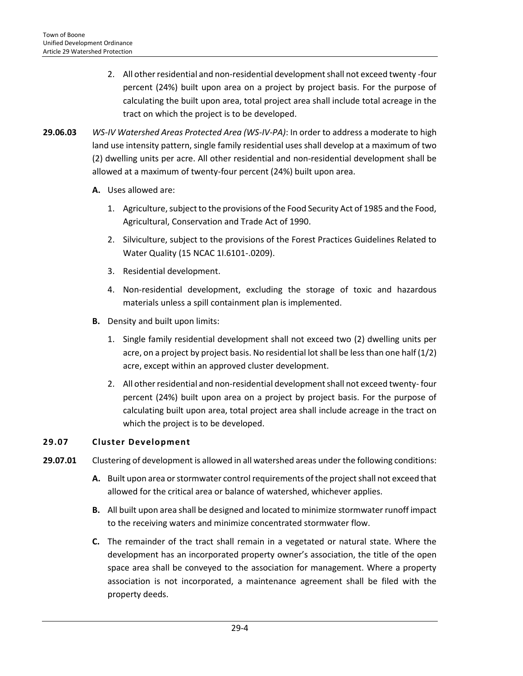- 2. All other residential and non-residential development shall not exceed twenty -four percent (24%) built upon area on a project by project basis. For the purpose of calculating the built upon area, total project area shall include total acreage in the tract on which the project is to be developed.
- **29.06.03** *WS-IV Watershed Areas Protected Area (WS-IV-PA)*: In order to address a moderate to high land use intensity pattern, single family residential uses shall develop at a maximum of two (2) dwelling units per acre. All other residential and non-residential development shall be allowed at a maximum of twenty-four percent (24%) built upon area.
	- **A.** Uses allowed are:
		- 1. Agriculture, subject to the provisions of the Food Security Act of 1985 and the Food, Agricultural, Conservation and Trade Act of 1990.
		- 2. Silviculture, subject to the provisions of the Forest Practices Guidelines Related to Water Quality (15 NCAC 1I.6101-.0209).
		- 3. Residential development.
		- 4. Non-residential development, excluding the storage of toxic and hazardous materials unless a spill containment plan is implemented.
	- **B.** Density and built upon limits:
		- 1. Single family residential development shall not exceed two (2) dwelling units per acre, on a project by project basis. No residential lot shall be less than one half (1/2) acre, except within an approved cluster development.
		- 2. All other residential and non-residential development shall not exceed twenty- four percent (24%) built upon area on a project by project basis. For the purpose of calculating built upon area, total project area shall include acreage in the tract on which the project is to be developed.

# <span id="page-3-0"></span>**29.07 Cluster Development**

- **29.07.01** Clustering of development is allowed in all watershed areas under the following conditions:
	- **A.** Built upon area or stormwater control requirements of the project shall not exceed that allowed for the critical area or balance of watershed, whichever applies.
	- **B.** All built upon area shall be designed and located to minimize stormwater runoff impact to the receiving waters and minimize concentrated stormwater flow.
	- **C.** The remainder of the tract shall remain in a vegetated or natural state. Where the development has an incorporated property owner's association, the title of the open space area shall be conveyed to the association for management. Where a property association is not incorporated, a maintenance agreement shall be filed with the property deeds.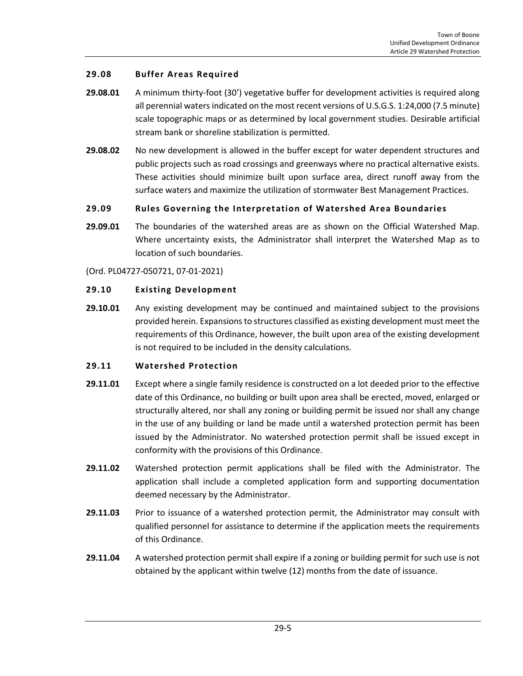### <span id="page-4-0"></span>**29.08 Buffer Areas Required**

- **29.08.01** A minimum thirty-foot (30') vegetative buffer for development activities is required along all perennial waters indicated on the most recent versions of U.S.G.S. 1:24,000 (7.5 minute) scale topographic maps or as determined by local government studies. Desirable artificial stream bank or shoreline stabilization is permitted.
- **29.08.02** No new development is allowed in the buffer except for water dependent structures and public projects such as road crossings and greenways where no practical alternative exists. These activities should minimize built upon surface area, direct runoff away from the surface waters and maximize the utilization of stormwater Best Management Practices.

### <span id="page-4-1"></span>**29.09 Rules Governing the Interpretation of Watershed Area Boundaries**

**29.09.01** The boundaries of the watershed areas are as shown on the Official Watershed Map. Where uncertainty exists, the Administrator shall interpret the Watershed Map as to location of such boundaries.

(Ord. PL04727-050721, 07-01-2021)

#### <span id="page-4-2"></span>**29.10 Existing Development**

**29.10.01** Any existing development may be continued and maintained subject to the provisions provided herein. Expansions to structures classified as existing development must meet the requirements of this Ordinance, however, the built upon area of the existing development is not required to be included in the density calculations.

#### <span id="page-4-3"></span>**29.11 Watershed Protection**

- **29.11.01** Except where a single family residence is constructed on a lot deeded prior to the effective date of this Ordinance, no building or built upon area shall be erected, moved, enlarged or structurally altered, nor shall any zoning or building permit be issued nor shall any change in the use of any building or land be made until a watershed protection permit has been issued by the Administrator. No watershed protection permit shall be issued except in conformity with the provisions of this Ordinance.
- **29.11.02** Watershed protection permit applications shall be filed with the Administrator. The application shall include a completed application form and supporting documentation deemed necessary by the Administrator.
- **29.11.03** Prior to issuance of a watershed protection permit, the Administrator may consult with qualified personnel for assistance to determine if the application meets the requirements of this Ordinance.
- **29.11.04** A watershed protection permit shall expire if a zoning or building permit for such use is not obtained by the applicant within twelve (12) months from the date of issuance.